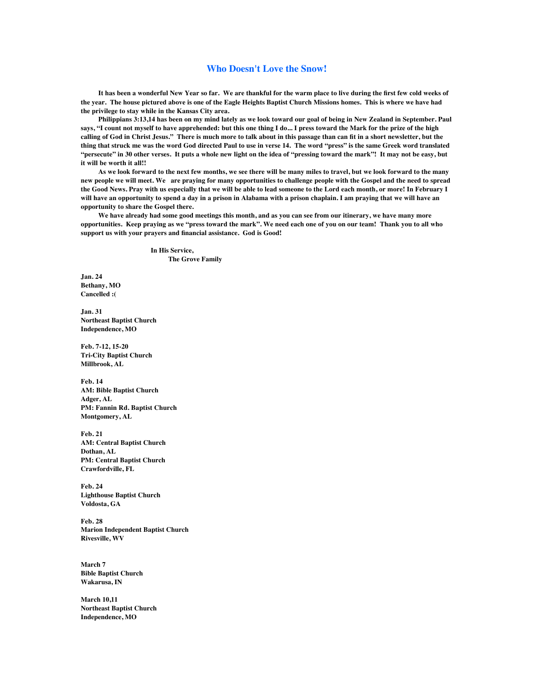## **Who Doesn't Love the Snow!**

**It has been a wonderful New Year so far. We are thankful for the warm place to live during the first few cold weeks of the year. The house pictured above is one of the Eagle Heights Baptist Church Missions homes. This is where we have had the privilege to stay while in the Kansas City area.** 

**Philippians 3:13,14 has been on my mind lately as we look toward our goal of being in New Zealand in September. Paul says, "I count not myself to have apprehended: but this one thing I do... I press toward the Mark for the prize of the high calling of God in Christ Jesus." There is much more to talk about in this passage than can fit in a short newsletter, but the thing that struck me was the word God directed Paul to use in verse 14. The word "press" is the same Greek word translated "persecute" in 30 other verses. It puts a whole new light on the idea of "pressing toward the mark"! It may not be easy, but it will be worth it all!!**

**As we look forward to the next few months, we see there will be many miles to travel, but we look forward to the many new people we will meet. We are praying for many opportunities to challenge people with the Gospel and the need to spread the Good News. Pray with us especially that we will be able to lead someone to the Lord each month, or more! In February I will have an opportunity to spend a day in a prison in Alabama with a prison chaplain. I am praying that we will have an opportunity to share the Gospel there.** 

**We have already had some good meetings this month, and as you can see from our itinerary, we have many more opportunities. Keep praying as we "press toward the mark". We need each one of you on our team! Thank you to all who support us with your prayers and financial assistance. God is Good!**

> **In His Service, The Grove Family**

**Jan. 24 Bethany, MO Cancelled :(**

**Jan. 31 Northeast Baptist Church Independence, MO**

**Feb. 7-12, 15-20 Tri-City Baptist Church Millbrook, AL**

**Feb. 14 AM: Bible Baptist Church Adger, AL PM: Fannin Rd. Baptist Church Montgomery, AL**

**Feb. 21 AM: Central Baptist Church Dothan, AL PM: Central Baptist Church Crawfordville, FL**

**Feb. 24 Lighthouse Baptist Church Voldosta, GA**

**Feb. 28 Marion Independent Baptist Church Rivesville, WV**

**March 7 Bible Baptist Church Wakarusa, IN**

**March 10,11 Northeast Baptist Church Independence, MO**